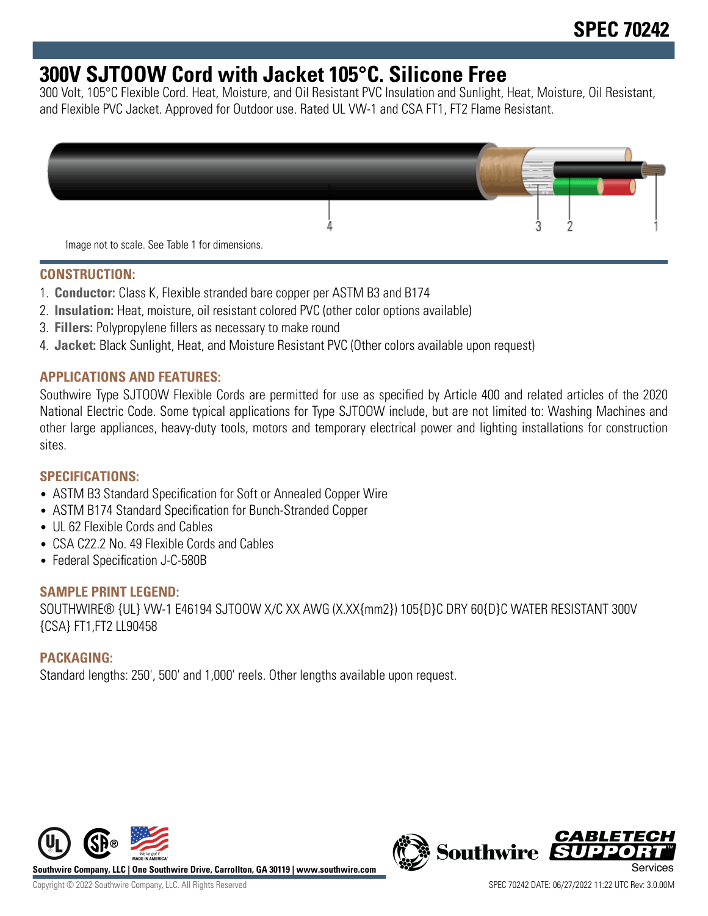# **300V SJTOOW Cord with Jacket 105°C. Silicone Free**

300 Volt, 105°C Flexible Cord. Heat, Moisture, and Oil Resistant PVC Insulation and Sunlight, Heat, Moisture, Oil Resistant, and Flexible PVC Jacket. Approved for Outdoor use. Rated UL VW-1 and CSA FT1, FT2 Flame Resistant.



#### **CONSTRUCTION:**

- 1. **Conductor:** Class K, Flexible stranded bare copper per ASTM B3 and B174
- 2. **Insulation:** Heat, moisture, oil resistant colored PVC (other color options available)
- 3. **Fillers:** Polypropylene fillers as necessary to make round
- 4. **Jacket:** Black Sunlight, Heat, and Moisture Resistant PVC (Other colors available upon request)

## **APPLICATIONS AND FEATURES:**

Southwire Type SJTOOW Flexible Cords are permitted for use as specified by Article 400 and related articles of the 2020 National Electric Code. Some typical applications for Type SJTOOW include, but are not limited to: Washing Machines and other large appliances, heavy-duty tools, motors and temporary electrical power and lighting installations for construction sites.

#### **SPECIFICATIONS:**

- ASTM B3 Standard Specification for Soft or Annealed Copper Wire
- ASTM B174 Standard Specification for Bunch-Stranded Copper
- UL 62 Flexible Cords and Cables
- CSA C22.2 No. 49 Flexible Cords and Cables
- Federal Specification J-C-580B

#### **SAMPLE PRINT LEGEND:**

SOUTHWIRE® {UL} VW-1 E46194 SJTOOW X/C XX AWG (X.XX{mm2}) 105{D}C DRY 60{D}C WATER RESISTANT 300V {CSA} FT1,FT2 LL90458

# **PACKAGING:**

Standard lengths: 250', 500' and 1,000' reels. Other lengths available upon request.



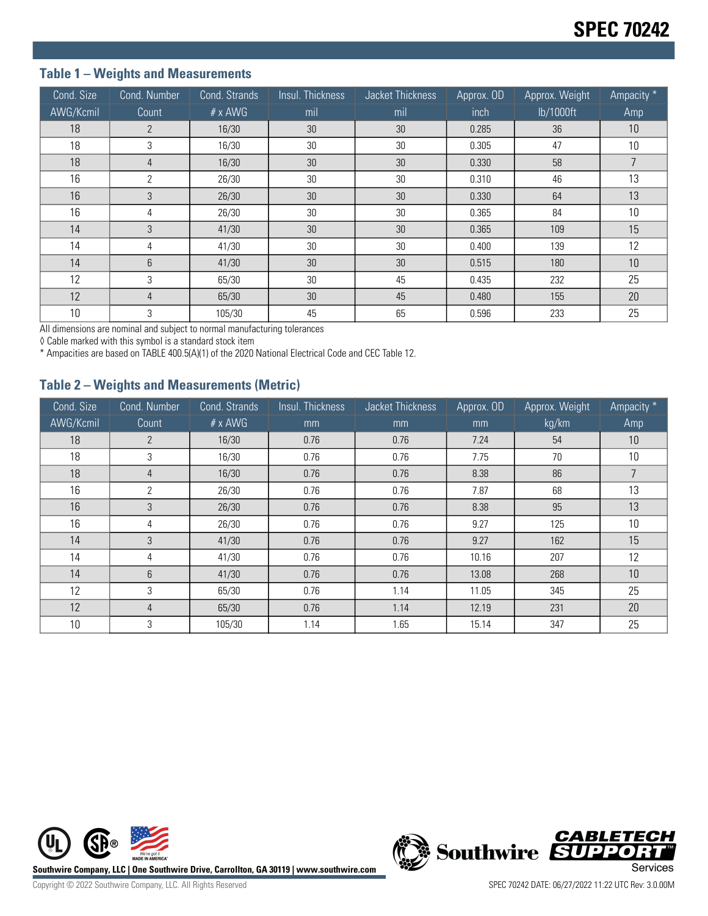## **Table 1 – Weights and Measurements**

| Cond. Size | Cond. Number   | Cond. Strands  | Insul. Thickness | Jacket Thickness | Approx. OD | Approx. Weight | Ampacity *     |
|------------|----------------|----------------|------------------|------------------|------------|----------------|----------------|
| AWG/Kcmil  | Count          | $# \times$ AWG | mil              | mil              | inch       | lb/1000ft      | Amp            |
| 18         | $\overline{2}$ | 16/30          | 30               | 30               | 0.285      | 36             | 10             |
| 18         | 3              | 16/30          | 30               | 30               | 0.305      | 47             | 10             |
| 18         | 4              | 16/30          | 30               | 30               | 0.330      | 58             | $\overline{7}$ |
| 16         | 2              | 26/30          | 30               | 30               | 0.310      | 46             | 13             |
| 16         | 3              | 26/30          | 30               | 30               | 0.330      | 64             | 13             |
| 16         | 4              | 26/30          | 30               | 30               | 0.365      | 84             | 10             |
| 14         | 3              | 41/30          | 30               | 30               | 0.365      | 109            | 15             |
| 14         | 4              | 41/30          | 30               | 30               | 0.400      | 139            | 12             |
| 14         | 6              | 41/30          | 30               | 30               | 0.515      | 180            | 10             |
| 12         | 3              | 65/30          | 30               | 45               | 0.435      | 232            | 25             |
| 12         | 4              | 65/30          | 30               | 45               | 0.480      | 155            | 20             |
| 10         | 3              | 105/30         | 45               | 65               | 0.596      | 233            | 25             |

All dimensions are nominal and subject to normal manufacturing tolerances

◊ Cable marked with this symbol is a standard stock item

\* Ampacities are based on TABLE 400.5(A)(1) of the 2020 National Electrical Code and CEC Table 12.

#### **Table 2 – Weights and Measurements (Metric)**

| Cond. Size | Cond. Number   | Cond. Strands  | Insul. Thickness | Jacket Thickness | Approx. OD   | Approx. Weight | Ampacity * |
|------------|----------------|----------------|------------------|------------------|--------------|----------------|------------|
| AWG/Kcmil  | Count          | $# \times$ AWG | mm               | mm               | mm           | kg/km          | Amp        |
| 18         | $\overline{2}$ | 16/30          | 0.76             | 0.76             | 7.24<br>54   |                | 10         |
| 18         | 3              | 16/30          | 0.76             | 0.76             | 70<br>7.75   |                | 10         |
| 18         | 4              | 16/30          | 0.76             | 0.76             | 86<br>8.38   |                |            |
| 16         | 2              | 26/30          | 0.76             | 0.76             | 7.87         | 68             | 13         |
| 16         | 3              | 26/30          | 0.76             | 0.76             | 8.38         | 95             | 13         |
| 16         | 4              | 26/30          | 0.76             | 0.76             | 9.27         | 125            | 10         |
| 14         | 3              | 41/30          | 0.76             | 0.76             | 9.27         | 162            | 15         |
| 14         | 4              | 41/30          | 0.76             | 0.76             | 207<br>10.16 |                | 12         |
| 14         | 6              | 41/30          | 0.76             | 0.76             | 13.08        | 268            | 10         |
| 12         | 3              | 65/30          | 0.76             | 1.14             | 11.05        | 345            | 25         |
| 12         | 4              | 65/30          | 0.76             | 1.14             | 12.19        | 231            | 20         |
| 10         | 3              | 105/30         | 1.14             | 1.65             | 15.14        | 347            | 25         |





Copyright © 2022 Southwire Company, LLC. All Rights Reserved SPEC 70242 DATE: 06/27/2022 11:22 UTC Rev: 3.0.00M